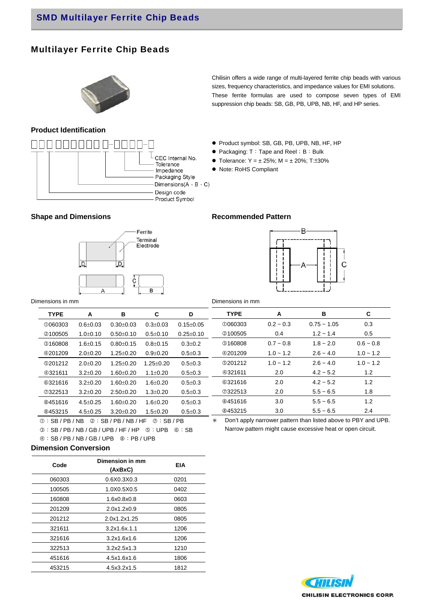## Multilayer Ferrite Chip Beads

### **Product Identification**



Chilisin offers a wide range of multi-layered ferrite chip beads with various sizes, frequency characteristics, and impedance values for EMI solutions. These ferrite formulas are used to compose seven types of EMI suppression chip beads: SB, GB, PB, UPB, NB, HF, and HP series.

- Product symbol: SB, GB, PB, UPB, NB, HF, HP
- Packaging: T: Tape and Reel; B: Bulk
- Tolerance:  $Y = \pm 25\%$ ; M =  $\pm 20\%$ ; T: $\pm 30\%$
- Note: RoHS Compliant

#### **Shape and Dimensions Commended Pattern Recommended Pattern**





Dimensions in mm

| iensions in mm |                |                                                                                            |                 |                 | Dimensions in mm |             |                                                                |             |
|----------------|----------------|--------------------------------------------------------------------------------------------|-----------------|-----------------|------------------|-------------|----------------------------------------------------------------|-------------|
| <b>TYPE</b>    | A              | в                                                                                          | C               | D               | <b>TYPE</b>      | A           | в                                                              | C           |
| <b>0060303</b> | $0.6 + 0.03$   | $0.30 \pm 0.03$                                                                            | $0.3 \pm 0.03$  | $0.15 \pm 0.05$ | <b>0060303</b>   | $0.2 - 0.3$ | $0.75 - 1.05$                                                  | 0.3         |
| 2100505        | $1.0 \pm 0.10$ | $0.50 \pm 0.10$                                                                            | $0.5 \pm 0.10$  | $0.25 \pm 0.10$ | 2100505          | 0.4         | $1.2 - 1.4$                                                    | 0.5         |
| <b>3160808</b> | $1.6 \pm 0.15$ | $0.80 + 0.15$                                                                              | $0.8 + 0.15$    | $0.3 \pm 0.2$   | <b>3160808</b>   | $0.7 - 0.8$ | $1.8 - 2.0$                                                    | $0.6 - 0.8$ |
| 4201209        | $2.0 \pm 0.20$ | $1.25 \pm 0.20$                                                                            | $0.9 \pm 0.20$  | $0.5 \pm 0.3$   | 4201209          | $1.0 - 1.2$ | $2.6 - 4.0$                                                    | $1.0 - 1.2$ |
| <b>9201212</b> | $2.0 \pm 0.20$ | $1.25 \pm 0.20$                                                                            | $1.25 \pm 0.20$ | $0.5 \pm 0.3$   | <b>9201212</b>   | $1.0 - 1.2$ | $2.6 - 4.0$                                                    | $1.0 - 1.2$ |
| 4321611        | $3.2 \pm 0.20$ | $1.60 \pm 0.20$                                                                            | $1.1 \pm 0.20$  | $0.5 \pm 0.3$   | <b>4321611</b>   | 2.0         | $4.2 - 5.2$                                                    | 1.2         |
| <b>©321616</b> | $3.2 \pm 0.20$ | $1.60 \pm 0.20$                                                                            | $1.6 \pm 0.20$  | $0.5 \pm 0.3$   | <b>©321616</b>   | 2.0         | $4.2 - 5.2$                                                    | 1.2         |
| ⑦322513        | $3.2 \pm 0.20$ | $2.50 \pm 0.20$                                                                            | $1.3 \pm 0.20$  | $0.5 \pm 0.3$   | ⑦322513          | 2.0         | $5.5 - 6.5$                                                    | 1.8         |
| <b>8451616</b> | $4.5 \pm 0.25$ | $1.60 \pm 0.20$                                                                            | $1.6 \pm 0.20$  | $0.5 \pm 0.3$   | <b>8451616</b>   | 3.0         | $5.5 - 6.5$                                                    | 1.2         |
| <b>8453215</b> | $4.5 \pm 0.25$ | $3.20 \pm 0.20$                                                                            | $1.5 \pm 0.20$  | $0.5 \pm 0.3$   | <b>8453215</b>   | 3.0         | $5.5 - 6.5$                                                    | 2.4         |
|                |                | $\circ$ . On $\circ$ . In $\circ$ . On $\circ$ . In $\circ$ . In $\circ$ . On $\circ$ . On |                 |                 | $\mathbf{L}$     |             | Don't apply parrough pattern than listed above to DDV and LIDD |             |

 $\mathbb{O}:$  SB / PB / NB  $\mathbb{O}:$  SB / PB / NB / HF  $\mathbb{O}:$  SB / PB  $\circ$ : SB / PB / NB / GB / UPB / HF / HP  $\circ$ : UPB  $\circ$ : SB

 $@:SB / PB / NB / GB / UPB @:PB / UPB$ 

\* Don't apply narrower pattern than listed above to PBY and UPB. Narrow pattern might cause excessive heat or open circuit.

### **Dimension Conversion**

| Code   | Dimension in mm<br>(AxBxC) | EIA  |  |  |
|--------|----------------------------|------|--|--|
| 060303 | 0.6X0.3X0.3                | 0201 |  |  |
| 100505 | 1.0X0.5X0.5                | 0402 |  |  |
| 160808 | 1.6x0.8x0.8                | 0603 |  |  |
| 201209 | 2.0x1.2x0.9                | 0805 |  |  |
| 201212 | 2.0x1.2x1.25               | 0805 |  |  |
| 321611 | 3.2x1.6x.1.1               | 1206 |  |  |
| 321616 | 3.2x1.6x1.6                | 1206 |  |  |
| 322513 | 3.2x2.5x1.3                | 1210 |  |  |
| 451616 | 4.5x1.6x1.6                | 1806 |  |  |
| 453215 | 4.5x3.2x1.5                | 1812 |  |  |

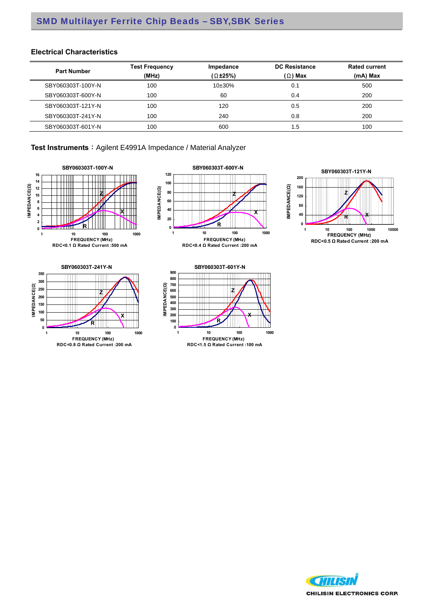### **Electrical Characteristics**

| <b>Part Number</b> | <b>Test Frequency</b><br>(MHz) | Impedance<br>$(\Omega \pm 25\%)$ | <b>DC Resistance</b><br>$(\Omega)$ Max | <b>Rated current</b><br>(mA) Max |  |
|--------------------|--------------------------------|----------------------------------|----------------------------------------|----------------------------------|--|
| SBY060303T-100Y-N  | 100                            | $10\pm30\%$                      | 0.1                                    | 500                              |  |
| SBY060303T-600Y-N  | 100                            | 60                               | 0.4                                    | 200                              |  |
| SBY060303T-121Y-N  | 100                            | 120                              | 0.5                                    | 200                              |  |
| SBY060303T-241Y-N  | 100                            | 240                              | 0.8                                    | 200                              |  |
| SBY060303T-601Y-N  | 100                            | 600                              | . .5                                   | 100                              |  |

Test Instruments : Agilent E4991A Impedance / Material Analyzer







#### **SBY060303T-601Y-N 900** T **800 700 Z 600 400 500 300 200 X100 R** ╥╖ **0 1 10 100 1000 FREQUENCY (MHz) RDC<1.5 Ω Rated Current :100 mA**

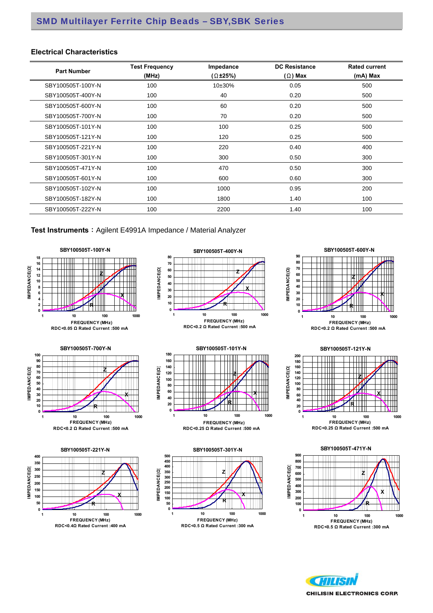#### **Electrical Characteristics**

| <b>Part Number</b> | <b>Test Frequency</b><br>(MHz) | Impedance<br>$(\Omega \pm 25\%)$ | <b>DC Resistance</b><br>$(\Omega)$ Max | <b>Rated current</b><br>(mA) Max |
|--------------------|--------------------------------|----------------------------------|----------------------------------------|----------------------------------|
| SBY100505T-100Y-N  | 100                            | 10±30%                           | 0.05                                   | 500                              |
| SBY100505T-400Y-N  | 100                            | 40                               | 0.20                                   | 500                              |
| SBY100505T-600Y-N  | 100                            | 60                               | 0.20                                   | 500                              |
| SBY100505T-700Y-N  | 100                            | 70                               | 0.20                                   | 500                              |
| SBY100505T-101Y-N  | 100                            | 100                              | 0.25                                   | 500                              |
| SBY100505T-121Y-N  | 100                            | 120                              | 0.25                                   | 500                              |
| SBY100505T-221Y-N  | 100                            | 220                              | 0.40                                   | 400                              |
| SBY100505T-301Y-N  | 100                            | 300                              | 0.50                                   | 300                              |
| SBY100505T-471Y-N  | 100                            | 470                              | 0.50                                   | 300                              |
| SBY100505T-601Y-N  | 100                            | 600                              | 0.60                                   | 300                              |
| SBY100505T-102Y-N  | 100                            | 1000                             | 0.95                                   | 200                              |
| SBY100505T-182Y-N  | 100                            | 1800                             | 1.40                                   | 100                              |
| SBY100505T-222Y-N  | 100                            | 2200                             | 1.40                                   | 100                              |

**Test Instruments**: Agilent E4991A Impedance / Material Analyzer







**RDC<0.2 Ω Rated Current :500 mA**



**RDC<0.25 Ω Rated Current :500 mA**









HITIST **CHILISIN ELECTRONICS CORP.**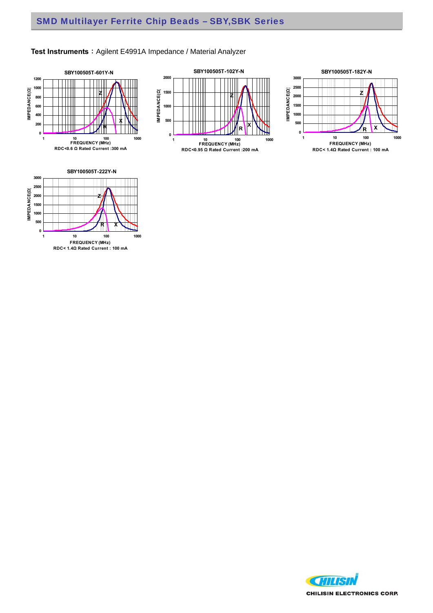







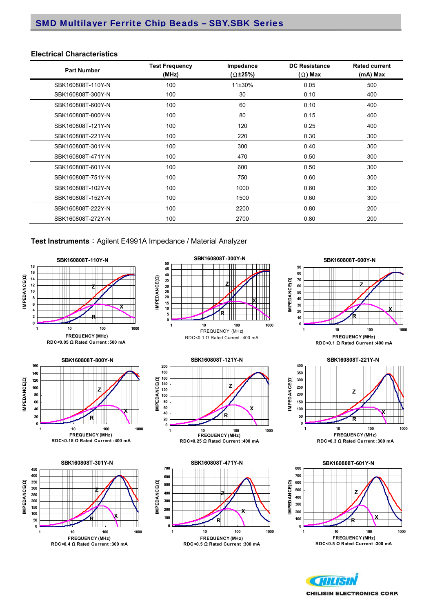#### **Electrical Characteristics**

| <b>Part Number</b> | <b>Test Frequency</b><br>(MHz) | Impedance<br>$(\Omega \pm 25\%)$ | <b>DC Resistance</b><br>$(\Omega)$ Max | <b>Rated current</b><br>(mA) Max |
|--------------------|--------------------------------|----------------------------------|----------------------------------------|----------------------------------|
| SBK160808T-110Y-N  | 100                            | 11±30%                           | 0.05                                   | 500                              |
| SBK160808T-300Y-N  | 100                            | 30                               | 0.10                                   | 400                              |
| SBK160808T-600Y-N  | 100                            | 60                               | 0.10                                   | 400                              |
| SBK160808T-800Y-N  | 100                            | 80                               | 0.15                                   | 400                              |
| SBK160808T-121Y-N  | 100                            | 120                              | 0.25                                   | 400                              |
| SBK160808T-221Y-N  | 100                            | 220                              | 0.30                                   | 300                              |
| SBK160808T-301Y-N  | 100                            | 300                              | 0.40                                   | 300                              |
| SBK160808T-471Y-N  | 100                            | 470                              | 0.50                                   | 300                              |
| SBK160808T-601Y-N  | 100                            | 600                              | 0.50                                   | 300                              |
| SBK160808T-751Y-N  | 100                            | 750                              | 0.60                                   | 300                              |
| SBK160808T-102Y-N  | 100                            | 1000                             | 0.60                                   | 300                              |
| SBK160808T-152Y-N  | 100                            | 1500                             | 0.60                                   | 300                              |
| SBK160808T-222Y-N  | 100                            | 2200                             | 0.80                                   | 200                              |
| SBK160808T-272Y-N  | 100                            | 2700                             | 0.80                                   | 200                              |

#### Test Instruments : Agilent E4991A Impedance / Material Analyzer



















**CHILISIN ELECTRONICS CORP.**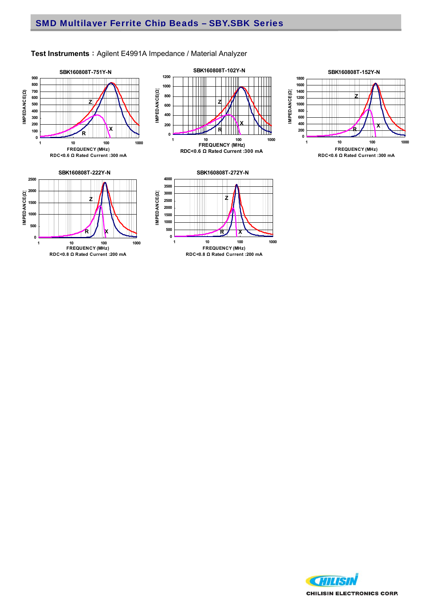

**RDC<0.8 Ω Rated Current :200 mA**

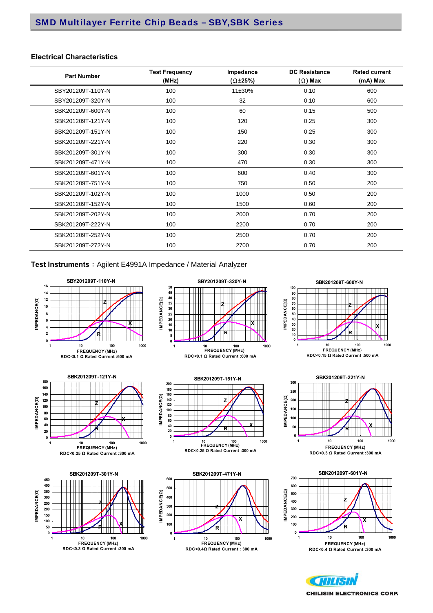#### **Electrical Characteristics**

| <b>Part Number</b> | <b>Test Frequency</b><br>(MHz) | Impedance<br>$(\Omega \pm 25\%)$ | <b>DC Resistance</b><br>$(\Omega)$ Max | <b>Rated current</b><br>(mA) Max |
|--------------------|--------------------------------|----------------------------------|----------------------------------------|----------------------------------|
| SBY201209T-110Y-N  | 100                            | 11±30%                           | 0.10                                   | 600                              |
| SBY201209T-320Y-N  | 100                            | 32                               | 0.10                                   | 600                              |
| SBK201209T-600Y-N  | 100                            | 60                               | 0.15                                   | 500                              |
| SBK201209T-121Y-N  | 100                            | 120                              | 0.25                                   | 300                              |
| SBK201209T-151Y-N  | 100                            | 150                              | 0.25                                   | 300                              |
| SBK201209T-221Y-N  | 100                            | 220                              | 0.30                                   | 300                              |
| SBK201209T-301Y-N  | 100                            | 300                              | 0.30                                   | 300                              |
| SBK201209T-471Y-N  | 100                            | 470                              | 0.30                                   | 300                              |
| SBK201209T-601Y-N  | 100                            | 600                              | 0.40                                   | 300                              |
| SBK201209T-751Y-N  | 100                            | 750                              | 0.50                                   | 200                              |
| SBK201209T-102Y-N  | 100                            | 1000                             | 0.50                                   | 200                              |
| SBK201209T-152Y-N  | 100                            | 1500                             | 0.60                                   | 200                              |
| SBK201209T-202Y-N  | 100                            | 2000                             | 0.70                                   | 200                              |
| SBK201209T-222Y-N  | 100                            | 2200                             | 0.70                                   | 200                              |
| SBK201209T-252Y-N  | 100                            | 2500                             | 0.70                                   | 200                              |
| SBK201209T-272Y-N  | 100                            | 2700                             | 0.70                                   | 200                              |

Test Instruments : Agilent E4991A Impedance / Material Analyzer



**CHILST CHILISIN ELECTRONICS CORP.**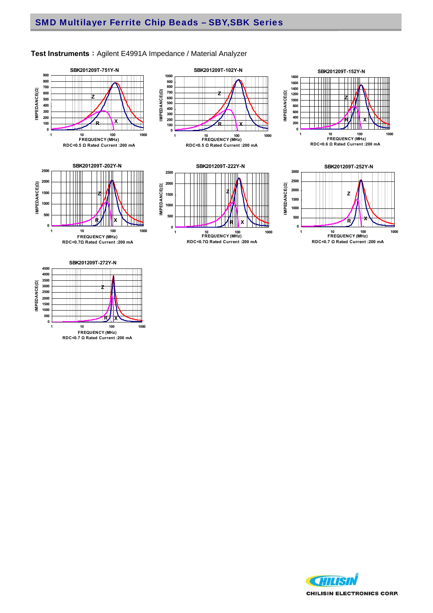



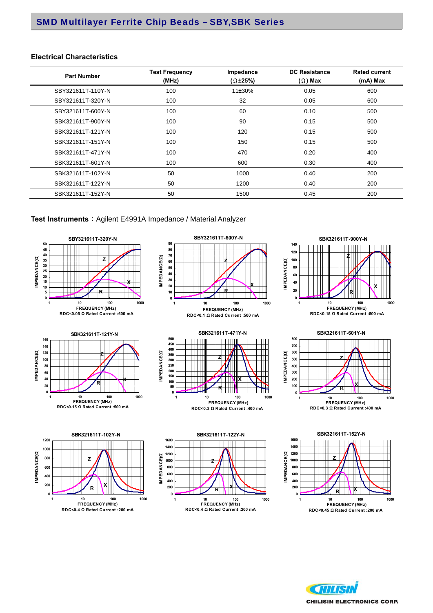#### **Electrical Characteristics**

| <b>Part Number</b> | <b>Test Frequency</b><br>(MHz) | Impedance<br>$(\Omega \pm 25\%)$ | <b>DC Resistance</b><br>$(\Omega)$ Max | <b>Rated current</b><br>(mA) Max |
|--------------------|--------------------------------|----------------------------------|----------------------------------------|----------------------------------|
| SBY321611T-110Y-N  | 100                            | 11±30%                           | 0.05                                   | 600                              |
| SBY321611T-320Y-N  | 100                            | 32                               | 0.05                                   | 600                              |
| SBY321611T-600Y-N  | 100                            | 60                               | 0.10                                   | 500                              |
| SBK321611T-900Y-N  | 100                            | 90                               | 0.15                                   | 500                              |
| SBK321611T-121Y-N  | 100                            | 120                              | 0.15                                   | 500                              |
| SBK321611T-151Y-N  | 100                            | 150                              | 0.15                                   | 500                              |
| SBK321611T-471Y-N  | 100                            | 470                              | 0.20                                   | 400                              |
| SBK321611T-601Y-N  | 100                            | 600                              | 0.30                                   | 400                              |
| SBK321611T-102Y-N  | 50                             | 1000                             | 0.40                                   | 200                              |
| SBK321611T-122Y-N  | 50                             | 1200                             | 0.40                                   | 200                              |
| SBK321611T-152Y-N  | 50                             | 1500                             | 0.45                                   | 200                              |



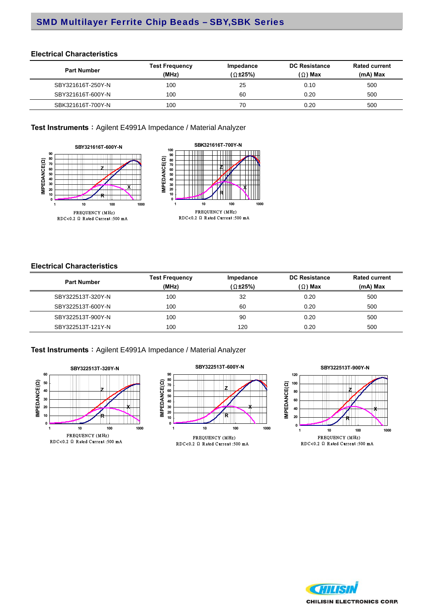#### **Electrical Characteristics**

| <b>Part Number</b> | <b>Test Frequency</b><br>(MHz) | Impedance<br>(Ω±25%) | <b>DC Resistance</b><br>$(\Omega)$ Max | <b>Rated current</b><br>(mA) Max |  |
|--------------------|--------------------------------|----------------------|----------------------------------------|----------------------------------|--|
| SBY321616T-250Y-N  | 100                            | 25                   | 0.10                                   | 500                              |  |
| SBY321616T-600Y-N  | 100                            | 60                   | 0.20                                   | 500                              |  |
| SBK321616T-700Y-N  | 100                            | 70                   | 0.20                                   | 500                              |  |

Test Instruments : Agilent E4991A Impedance / Material Analyzer





### **Electrical Characteristics**

| <b>Part Number</b> | <b>Test Frequency</b> | Impedance           | <b>DC Resistance</b> | <b>Rated current</b><br>$(mA)$ Max |  |
|--------------------|-----------------------|---------------------|----------------------|------------------------------------|--|
|                    | (MHz)                 | $(\Omega \pm 25\%)$ | $(\Omega)$ Max       |                                    |  |
| SBY322513T-320Y-N  | 100                   | 32                  | 0.20                 | 500                                |  |
| SBY322513T-600Y-N  | 100                   | 60                  | 0.20                 | 500                                |  |
| SBY322513T-900Y-N  | 100                   | 90                  | 0.20                 | 500                                |  |
| SBY322513T-121Y-N  | 100                   | 120                 | 0.20                 | 500                                |  |